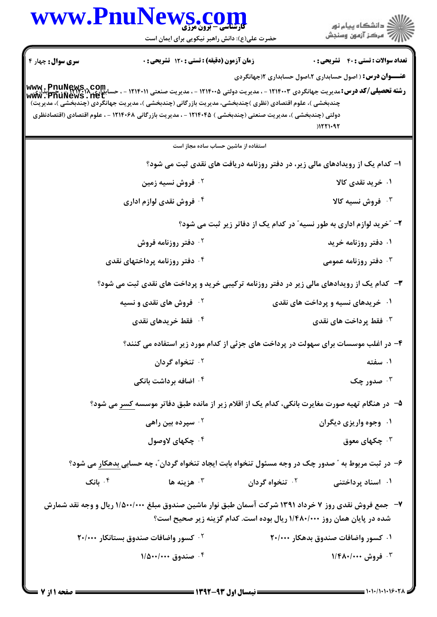|                           | www.PnuNews.com<br><b>کارشناسی - برون مرز</b>                                                                                                                                                                                                                                                                                                                                                                                                                    |                                                                         | ڪ دانشڪاه پيا <sub>م</sub> نور<br>∕7 مرڪز آزمون وسنڊش                                   |
|---------------------------|------------------------------------------------------------------------------------------------------------------------------------------------------------------------------------------------------------------------------------------------------------------------------------------------------------------------------------------------------------------------------------------------------------------------------------------------------------------|-------------------------------------------------------------------------|-----------------------------------------------------------------------------------------|
|                           | حضرت علی(ع): دانش راهبر نیکویی برای ایمان است                                                                                                                                                                                                                                                                                                                                                                                                                    |                                                                         |                                                                                         |
| <b>سری سوال :</b> چهار ۴  | زمان آزمون (دقیقه) : تستی : 120 تشریحی : 0                                                                                                                                                                                                                                                                                                                                                                                                                       |                                                                         | <b>تعداد سوالات : تستي : 40 قشريحي : 0</b>                                              |
|                           | <b>رشته تحصیلی/کد درس: مدیریت جهانگردی ۱۲۱۴۰۰۳ - ، مدیریت دولتی ۱۲۱۴۰۰۵ - ، مدیریت صنعتی ۱۲۱۴۰۱۱ - ، حسابداری ۱۳۱۴۰۱۸<br/>سند استه تحصیلی/کد درس: مدیریت جهانگردی ۱۲۱۴۰۰۳ - ، مدیریت دولتی ۱۲۱۴۰۰۵ - ، مدیریت صنعتی www . PnuNews .</b><br>چندبخشی )، علوم اقتصادی (نظری )چندبخشی، مدیریت بازرگانی (چندبخشی )، مدیریت جهانگردی (چندبخشی )، مدیریت)<br>دولتی (چندبخشی )، مدیریت صنعتی (چندبخشی ) ۱۲۱۴۰۴۵ - ، مدیریت بازرگانی ۱۲۱۴۰۶۸ - ، علوم اقتصادی (اقتصادنظری |                                                                         | <b>عنـــوان درس:</b> ( اصول حسابداری ۲،اصول حسابداری ۱(جهانگردی<br>$)$ 1221 $\cdot$ 922 |
|                           | استفاده از ماشین حساب ساده مجاز است                                                                                                                                                                                                                                                                                                                                                                                                                              |                                                                         |                                                                                         |
|                           |                                                                                                                                                                                                                                                                                                                                                                                                                                                                  |                                                                         | ا- کدام یک از رویدادهای مالی زیر، در دفتر روزنامه دریافت های نقدی ثبت می شود؟           |
|                           | ۰۲ فروش نسیه زمین                                                                                                                                                                                                                                                                                                                                                                                                                                                |                                                                         | ۰۱ خرید نقدی کالا                                                                       |
|                           | ۰۴ فروش نقدی لوازم اداری                                                                                                                                                                                                                                                                                                                                                                                                                                         |                                                                         | ۰۳ فروش نسیه کالا                                                                       |
|                           |                                                                                                                                                                                                                                                                                                                                                                                                                                                                  |                                                                         | ۲- ″خرید لوازم اداری به طور نسیه″ در کدام یک از دفاتر زیر ثبت می شود؟                   |
|                           | ۰ <sup>۲</sup> دفتر روزنامه فروش                                                                                                                                                                                                                                                                                                                                                                                                                                 |                                                                         | ۰۱ دفتر روزنامه خرید                                                                    |
|                           |                                                                                                                                                                                                                                                                                                                                                                                                                                                                  |                                                                         |                                                                                         |
|                           | ۰ <sup>۴</sup> دفتر روزنامه پرداختهای نقدی                                                                                                                                                                                                                                                                                                                                                                                                                       |                                                                         | دفتر روزنامه عمومی $\cdot^{\mathsf{\tau}}$                                              |
|                           | ۳- کدام یک از رویدادهای مالی زیر در دفتر روزنامه ترکیبی خرید و پرداخت های نقدی ثبت می شود؟                                                                                                                                                                                                                                                                                                                                                                       |                                                                         |                                                                                         |
|                           | <sup>۲</sup> ۰ فروش های نقدی و نسیه                                                                                                                                                                                                                                                                                                                                                                                                                              |                                                                         | ۰۱ خریدهای نسیه و پرداخت های نقدی                                                       |
|                           | ۰ <sup>۴</sup> فقط خریدهای نقدی                                                                                                                                                                                                                                                                                                                                                                                                                                  |                                                                         | ۰ <sup>۳</sup> فقط پرداخت های نقدی                                                      |
|                           | ۴- در اغلب موسسات برای سهولت در پرداخت های جزئی از کدام مورد زیر استفاده می کنند؟                                                                                                                                                                                                                                                                                                                                                                                |                                                                         |                                                                                         |
|                           | ۰ <sup>۲</sup> تنخواه گردان                                                                                                                                                                                                                                                                                                                                                                                                                                      |                                                                         | ۰۱ سفته                                                                                 |
|                           | ۰۴ اضافه برداشت بانکی                                                                                                                                                                                                                                                                                                                                                                                                                                            |                                                                         | مدور چک $\cdot$ "                                                                       |
|                           | ۵– در هنگام تهیه صورت مغایرت بانکی، کدام یک از اقلام زیر از مانده طبق دفاتر موسسه کسر می شود؟                                                                                                                                                                                                                                                                                                                                                                    |                                                                         |                                                                                         |
|                           | ۰ <sup>۲</sup> سپرده بین راهی                                                                                                                                                                                                                                                                                                                                                                                                                                    |                                                                         | ۰۱ وجوه واریزی دیگران                                                                   |
|                           | ۰۴ چکهای لاوصول                                                                                                                                                                                                                                                                                                                                                                                                                                                  |                                                                         | ۰۳ چکهای معوق                                                                           |
|                           | ۶– در ثبت مربوط به " صدور چک در وجه مسئول تنخواه بابت ایجاد تنخواه گردان"، چه حسابی بدهکار می شود؟                                                                                                                                                                                                                                                                                                                                                               |                                                                         |                                                                                         |
| بانک $\cdot^{\mathsf{f}}$ | هزينه ها $\cdot$                                                                                                                                                                                                                                                                                                                                                                                                                                                 | ۰ <sup>۲</sup> تنخواه گردان                                             | ۰۱ اسناد پرداختنی                                                                       |
|                           | ۷-- جمع فروش نقدی روز ۷ خرداد ۱۳۹۱ شرکت آسمان طبق نوار ماشین صندوق مبلغ ۱/۵۰۰/۰۰۰ ریال و وجه نقد شمارش                                                                                                                                                                                                                                                                                                                                                           | شده در پایان همان روز ۱/۴۸۰/۰۰۰ ریال بوده است. کدام گزینه زیر صحیح است؟ |                                                                                         |
|                           | ۰ <sup>۲</sup> کسور واضافات صندوق بستانکار ۲۰/۰۰۰                                                                                                                                                                                                                                                                                                                                                                                                                |                                                                         | ۰۱ کسور واضافات صندوق بدهکار ۲۰/۰۰۰                                                     |
|                           | ۰۴ صندوق ۱/۵۰۰/۰۰۰                                                                                                                                                                                                                                                                                                                                                                                                                                               |                                                                         | ۰۳ فروش ۱/۴۸۰/۰۰۰                                                                       |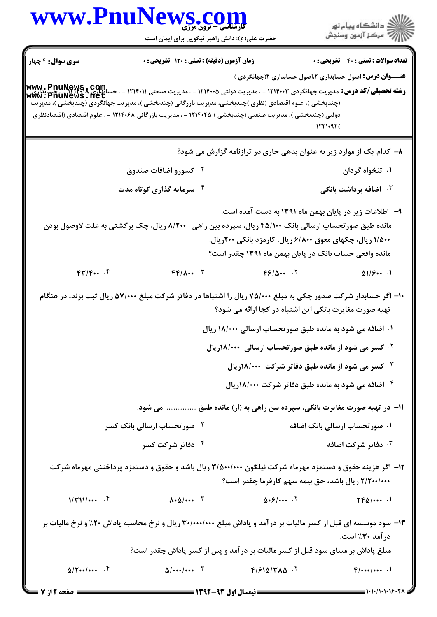|                                          | WWW.PnuNews.com<br>حضرت علی(ع): دانش راهبر نیکویی برای ایمان است                                                                                                                                                                                                                                                                                                                                                                                          |                                                                                                                                                                                                                                            | ِ<br>∭ دانشڪاه پيام نور<br>∭ مرڪز آزمون وسنڊش |
|------------------------------------------|-----------------------------------------------------------------------------------------------------------------------------------------------------------------------------------------------------------------------------------------------------------------------------------------------------------------------------------------------------------------------------------------------------------------------------------------------------------|--------------------------------------------------------------------------------------------------------------------------------------------------------------------------------------------------------------------------------------------|-----------------------------------------------|
| <b>سری سوال :</b> ۴ چهار                 | زمان آزمون (دقیقه) : تستی : ۱۲۰ تشریحی : 0                                                                                                                                                                                                                                                                                                                                                                                                                |                                                                                                                                                                                                                                            | <b>تعداد سوالات : تستي : 40 قشريحي : 0</b>    |
|                                          | رشته تحصیلی/کد درس: مدیریت جهانگردی ۱۲۱۴۰۰۳ - ، مدیریت دولتی ۱۲۱۴۰۰۵ - ، مدیریت صنعتی ۱۲۱۴۰۱۱ - ، حسانداری سیاس<br>سانداری ۱۳۱۴۰۰۲ - ۱۳۷۳ - ۱۳۹۴۰۳ - ۱۳۸۴۰۰ - ، مدیریت دولتی ۱۲۱۴۰۰۵ - ، مدیریت صنعتی ۱۳۱۴۰۱۱ - ، حسانداری Www ،<br>(چندبخشی )، علوم اقتصادی (نظری )چندبخشی، مدیریت بازرگانی (چندبخشی )، مدیریت جهانگردی (چندبخشی )، مدیریت<br>دولتی (چندبخشی )، مدیریت صنعتی (چندبخشی ) ۱۲۱۴۰۴۵ - ، مدیریت بازرگانی ۱۲۱۴۰۶۸ - ، علوم اقتصادی (اقتصادنظری | <b>عنــــوان درس:</b> اصول حسابداری ۲،اصول حسابداری ۱۲جهانگردی )                                                                                                                                                                           |                                               |
|                                          |                                                                                                                                                                                                                                                                                                                                                                                                                                                           |                                                                                                                                                                                                                                            | 1551.97 <sub>(</sub>                          |
|                                          |                                                                                                                                                                                                                                                                                                                                                                                                                                                           | ۸− کدام یک از موارد زیر به عنوان بدهی جا <u>ری</u> در ترازنامه گزارش می شود؟                                                                                                                                                               |                                               |
|                                          | ۰ <sup>۲</sup> کسورو اضافات صندوق                                                                                                                                                                                                                                                                                                                                                                                                                         |                                                                                                                                                                                                                                            | ۰۱ تنخواه گردان                               |
|                                          | ۰۴ سرمایه گذاری کوتاه مدت                                                                                                                                                                                                                                                                                                                                                                                                                                 |                                                                                                                                                                                                                                            | اضافه برداشت بانکی $\cdot$ ۲                  |
| ۸/۲۰۰ ریال، چک برگشتی به علت لاوصول بودن |                                                                                                                                                                                                                                                                                                                                                                                                                                                           | ۹– اطلاعات زیر در پایان بهمن ماه ۱۳۹۱ به دست آمده است:<br>مانده طبق صورتحساب ارسالی بانک ۴۵/۱۰۰ ریال، سپرده بین راهی<br>۱/۵۰۰ ریال، چکهای معوق ۶/۸۰۰ ریال، کارمزد بانکی ۲۰۰ریال.<br>مانده واقعی حساب بانک در پایان بهمن ماه ۱۳۹۱ چقدر است؟ |                                               |
| FT/F                                     | $FP/\Lambda \cdots$ $\Upsilon$                                                                                                                                                                                                                                                                                                                                                                                                                            | F9/0                                                                                                                                                                                                                                       | $\Delta 1/\sqrt{9}$                           |
|                                          | ۱۰- اگر حسابدار شرکت صدور چکی به مبلغ ۷۵/۰۰۰ ریال را اشتباها در دفاتر شرکت مبلغ ۵۷/۰۰۰ ریال ثبت بزند، در هنگام                                                                                                                                                                                                                                                                                                                                            | تهیه صورت مغایرت بانکی این اشتباه در کجا ارائه می شود؟                                                                                                                                                                                     |                                               |
|                                          |                                                                                                                                                                                                                                                                                                                                                                                                                                                           | ۰۱ اضافه می شود به مانده طبق صورتحساب ارسالی ۱۸/۰۰۰ ریال                                                                                                                                                                                   |                                               |
|                                          |                                                                                                                                                                                                                                                                                                                                                                                                                                                           | <b>۰۲ کسر می شود از مانده طبق صور تحساب ارسالی ۱۸/۰۰۰</b> ریال                                                                                                                                                                             |                                               |
|                                          |                                                                                                                                                                                                                                                                                                                                                                                                                                                           | ۰۳ کسر می شود از مانده طبق دفاتر شرکت ۱۸/۰۰۰ریال                                                                                                                                                                                           |                                               |
|                                          |                                                                                                                                                                                                                                                                                                                                                                                                                                                           | ۰۴ اضافه می شود به مانده طبق دفاتر شرکت ۱۸/۰۰۰ریال                                                                                                                                                                                         |                                               |
|                                          | ١١− در تهيه صورت مغايرت بانكي، سپرده بين راهي به (از) مانده طبق  مي شود.                                                                                                                                                                                                                                                                                                                                                                                  |                                                                                                                                                                                                                                            |                                               |
|                                          | <b>10 صورتحساب ارسالی بانک کسر</b>                                                                                                                                                                                                                                                                                                                                                                                                                        |                                                                                                                                                                                                                                            | ۰۱ صورتحساب ارسالی بانک اضافه                 |
|                                          | ۰۴ دفاتر شرکت کسر                                                                                                                                                                                                                                                                                                                                                                                                                                         |                                                                                                                                                                                                                                            | ۰ <sup>۳</sup> دفاتر شرکت اضافه               |
|                                          | ۱۲– اگر هزینه حقوق و دستمزد مهرماه شرکت نیلگون ۳/۵۰۰/۰۰۰ ریال باشد و حقوق و دستمزد پرداختنی مهرماه شرکت                                                                                                                                                                                                                                                                                                                                                   | ۲/۲۰۰/۰۰۰ ریال باشد، حق بیمه سهم کارفرما چقدر است؟                                                                                                                                                                                         |                                               |
| $1/\Gamma 11/\cdots$ . $5$               | $\Lambda$ + $\Delta$ / • • • $\Lambda$ $\Gamma$                                                                                                                                                                                                                                                                                                                                                                                                           | $\Delta$ . $\frac{6}{5}$ / $\frac{1}{5}$                                                                                                                                                                                                   | $TP\Delta$ /                                  |
|                                          | ۱۳- سود موسسه ای قبل از کسر مالیات بر درآمد و پاداش مبلغ ۳۰/۰۰۰/۰۰۰ ریال و نرخ محاسبه پاداش ۲۰٪ و نرخ مالیات بر                                                                                                                                                                                                                                                                                                                                           |                                                                                                                                                                                                                                            | در آمد ۳۰٪ است.                               |
|                                          | مبلغ پاداش بر مبنای سود قبل از کسر مالیات بر درآمد و پس از کسر پاداش چقدر است؟                                                                                                                                                                                                                                                                                                                                                                            |                                                                                                                                                                                                                                            |                                               |
| $\Delta$ / $\uparrow \cdots$ $\uparrow$  | $\Delta$ //                                                                                                                                                                                                                                                                                                                                                                                                                                               | $F/F1\Delta/T\Lambda\Delta^{-1}$                                                                                                                                                                                                           | $F$ //                                        |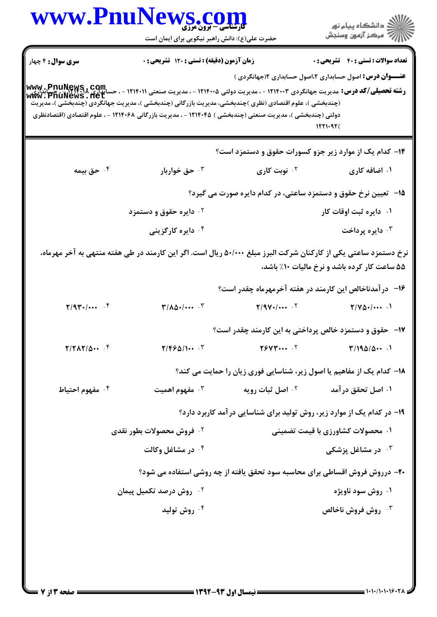|                              | www.PnuNews.com<br>حضرت علی(ع): دانش راهبر نیکویی برای ایمان است                                                                                                                                                                                                                         |                                                                             | ِ دانشڪاه پيا <sub>م</sub> نور<br>/∕ مرڪز آزمون وسنڊش                                                              |
|------------------------------|------------------------------------------------------------------------------------------------------------------------------------------------------------------------------------------------------------------------------------------------------------------------------------------|-----------------------------------------------------------------------------|--------------------------------------------------------------------------------------------------------------------|
| <b>سری سوال :</b> ۴ چهار     | زمان آزمون (دقیقه) : تستی : ۱۲۰ تشریحی : 0                                                                                                                                                                                                                                               |                                                                             | <b>تعداد سوالات : تستی : 40 قشریحی : 0</b><br><del>عنــــوان درس:</del> اصول حسابداری ۲،اصول حسابداری ۲(جهانگردی ) |
|                              | <b>www.phuNews , com.</b><br>Winipo : - ۱۲۱۴۰۰۴ - ۱۳۱۴۰۰۴ - ، مدیریت دولتی ۱۲۱۴۰۰۵ - ، مدیریت صنعتی ۱۲۱۴۰۱۱ - ، حسال <b>ت : ۱</b> ۱۱۴۰۳ - ۲۱۱۴۰۳ - ۱<br>WWW : PhuNews : 116 L<br>(چندبخشی )، علوم اقتصادی (نظری )چندبخشی، مدیریت بازرگانی (چندبخشی )، مدیریت جهانگردی (چندبخشی )، مدیریت |                                                                             |                                                                                                                    |
|                              | دولتی (چندبخشی )، مدیریت صنعتی (چندبخشی ) ۱۲۱۴۰۴۵ - ، مدیریت بازرگانی ۱۲۱۴۰۶۸ - ، علوم اقتصادی (اقتصادنظری                                                                                                                                                                               |                                                                             | 1551.97(                                                                                                           |
|                              |                                                                                                                                                                                                                                                                                          | <b>۱۴</b> - کدام یک از موارد زیر جزو کسورات حقوق و دستمزد است؟              |                                                                                                                    |
| ۰ <sup>۴</sup> حق بیمه       | خق خواربار $\cdot^{\intercal}$                                                                                                                                                                                                                                                           | ۰ <sup>۲</sup> نوبت کاری                                                    | ۰۱ اضافه کاری                                                                                                      |
|                              |                                                                                                                                                                                                                                                                                          | 1۵– تعیین نرخ حقوق و دستمزد ساعتی، در کدام دایره صورت می گیرد؟              |                                                                                                                    |
|                              | ۰ <sup>۲</sup> دایره حقوق و دستمزد                                                                                                                                                                                                                                                       |                                                                             | ۰۱ دایره ثبت اوقات کار                                                                                             |
|                              | ۰۴ دایره کارگزینی                                                                                                                                                                                                                                                                        |                                                                             | ۰ <sup>۳</sup> دايره پرداخت                                                                                        |
|                              | نرخ دستمزد ساعتی یکی از کارکنان شرکت البرز مبلغ ۵۰/۰۰۰ ریال است. اگر این کارمند در طی هفته منتهی به آخر مهرماه،                                                                                                                                                                          |                                                                             | ۵۵ ساعت کار کرده باشد و نرخ مالیات ۱۰٪ باشد،                                                                       |
|                              |                                                                                                                                                                                                                                                                                          | ۱۶– در آمدناخالص این کارمند در هفته آخرمهرماه چقدر است؟                     |                                                                                                                    |
| $Y/9Y+1$                     | $\mathbf{r}/\mathbf{A}\mathbf{\Delta}\cdot/\cdots$ $\mathbf{r}$                                                                                                                                                                                                                          | $Y/9V+$ / $\cdots$ .                                                        | $Y/Y\Delta+$ /                                                                                                     |
|                              |                                                                                                                                                                                                                                                                                          | <b>۱۷</b> - حقوق و دستمزد خالص پرداختی به این کارمند چقدر است؟              |                                                                                                                    |
| $T/T\Lambda T/\Delta \cdots$ | $\mathbf{Y}/\mathbf{F}\mathbf{F}\mathbf{\Delta}/\mathbf{I}\cdots$                                                                                                                                                                                                                        | Y5VY                                                                        | T/190/0                                                                                                            |
|                              |                                                                                                                                                                                                                                                                                          | ۱۸– کدام یک از مفاهیم یا اصول زیر، شناسایی فوری زیان را حمایت می کند؟       |                                                                                                                    |
| ۰ <sup>۴</sup> مفهوم احتياط  | ۰ <sup>۳</sup> مفهوم اهمیت                                                                                                                                                                                                                                                               | <b>10 اصل ثبات رويه</b>                                                     | ۰۱ اصل تحقق در آمد                                                                                                 |
|                              |                                                                                                                                                                                                                                                                                          | ۱۹- در کدام یک از موارد زیر، روش تولید برای شناسایی در آمد کاربرد دارد؟     |                                                                                                                    |
|                              | <b>گ فروش محصولات بطور نقدی</b>                                                                                                                                                                                                                                                          |                                                                             | ۰۱ محصولات کشاورزی با قیمت تضمینی                                                                                  |
|                              | ۰۴ در مشاغل وکالت                                                                                                                                                                                                                                                                        |                                                                             | در مشاغل پزشکی $\cdot$ ۳                                                                                           |
|                              |                                                                                                                                                                                                                                                                                          | ۲۰- درروش فروش اقساطی برای محاسبه سود تحقق یافته از چه روشی استفاده می شود؟ |                                                                                                                    |
|                              | ۰ <sup>۲</sup> روش درصد تکمیل پیمان                                                                                                                                                                                                                                                      |                                                                             | ۰۱ روش سود ناویژه                                                                                                  |
|                              | ۰ <sup>۴</sup> روش تولید                                                                                                                                                                                                                                                                 |                                                                             | <b>4 . روش فروش ناخالص</b>                                                                                         |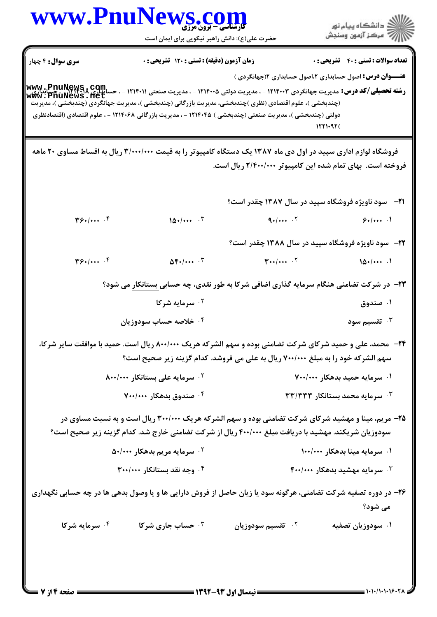## www.PnuNews.co

.<br>گ دانشگاه پیام نور أأأأأ مركز آزمون وسنجش

حضرت علی(ع): دانش راهبر نیکویی برای ایمان است

تعداد سوالات : تستى : 40 - تشريحي : 0

<mark>سري سوال :</mark> ۴ چهار زمان آزمون (دقيقه) : تستى : 120 تشريحي : 0

**عنـــوان درس:** اصول حسابداری ۲،اصول حسابداری ۲(جهانگردی ) **رشته تحصیلی/کد درس:** مدیریت جهانگردی ۱۲۱۴۰۰۳ - ، مدیریت دولتی ۱۲۱۴۰۰۵ - ، مدیریت صنعتی ۱۲۱۴۰۱۱ - ، حسابیاری MWW<br>**. مسابداری ۱۸ در سون م**دیریت جهانگردی ۱۲۱۴۰۰۳ - ، مدیریت دولتی ۱۲۱۴۰۰۵ - ، مدیریت صنعتی ۱۲۱۴۰۱۱ - ، حسابیار www.pnuNews.net (چندبخشی )، علوم اقتصادی (نظری )چندبخشی، مدیریت بازرگانی (چندبخشی )، مدیریت جهانگردی (چندبخُشّی )، مدیریت دولتی (چندبخشی )، مدیریت صنعتی (چندبخشی ) ۱۲۱۴۰۴۵ - ، مدیریت بازرگانی ۱۲۱۴۰۶۸ - ، علوم اقتصادی (اقتصادنظری  $1551.977$ 

فروشگاه لوازم اداری سپید در اول دی ماه ۱۳۸۷ یک دستگاه کامپیوتر را به قیمت ۳/۰۰۰/۰۰۰ ریال به اقساط مساوی ۲۰ ماهه فروخته است. بهای تمام شده این کامپیوتر ۲/۴۰۰/۰۰۰ ریال است.

**۲۲-** سود ناویژه فروشگاه سپید در سال ۱۳۸۸ چقدر است؟

 $\mathbf{y}_{\mathcal{F}}$  $\Delta \mathbf{F}$  .  $\cdots$   $\mathbf{r}$  $T \cdot \cdot / \cdot \cdot \cdot$  .  $\cdot \cdot$  $10.1...$ 

**۲۳**- در شرکت تضامنی هنگام سرمایه گذاری اضافی شرکا به طور نقدی، چه حسابی بستانکار می شود؟

- ۰۱ صندوق سرمایه شرکا  $\cdot$ ۲
- ۰<sup>۴</sup> خلاصه حساب سودوزیان تقسیم سود  $\cdot$ ۳
- **3۴** محمد، علی و حمید شرکای شرکت تضامنی بوده و سهم الشرکه هریک ۸۰۰/۰۰۰ ریال است. حمید با موافقت سایر شرکا، سهم الشركه خود را به مبلغ ۷۰۰/۰۰۰ ريال به علي مي فروشد. كدام گزينه زير صحيح است؟
	- ۰۲ سرمایه علی بستانکار ۸۰۰/۰۰۰ ۰۱ سرمایه حمید بدهکار ۷۰۰/۰۰۰ ۳۰ سرمایه محمد بستانکار ۳۳/۳۳۳ ۰۴ صندوق بدهکار ۷۰۰/۰۰۰

۲۵- مریم، مینا و مهشید شرکای شرکت تضامنی بوده و سهم الشرکه هریک ۳۰۰/۰۰۰ ریال است و به نسبت مساوی در سودوزیان شریکند. مهشید با دریافت مبلغ ۴۰۰/۰۰۰ ریال از شرکت تضامنی خارج شد. کدام گزینه زیر صحیح است؟

- ۰۲ سرمایه مریم بدهکار ۵۰/۰۰۰ ۰۱ سرمایه مینا بدهکار ۱۰۰/۰۰۰
	- ۰۴ وجه نقد بستانکار ۳۰۰/۰۰۰  $\mathsf{F}$ ۰۰/۰۰۰ سرمایه مهشید بدهکار  $\cdot$ ۰۰/۰۰۰  $\cdot$
- ۲۶- در دوره تصفیه شرکت تضامنی، هرگونه سود یا زیان حاصل از فروش دارایی ها و یا وصول بدهی ها در چه حسابی نگهداری می شود؟
	- ۰۴ سرمایه شرکا ۰۳ حساب جاری شرکا ۰<sup>۲</sup> تقسیم سودوزیان ۰۱ سودوزیان تصفیه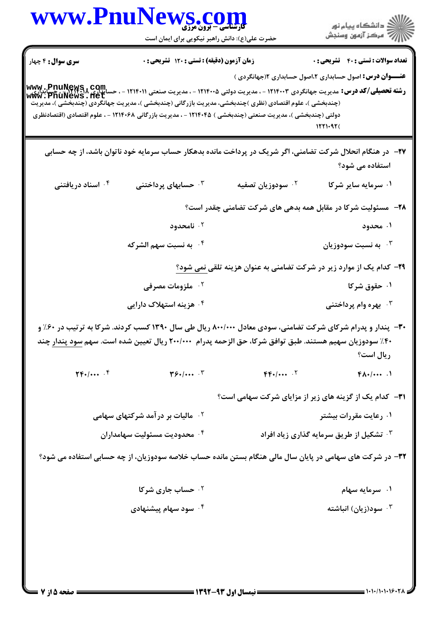|                               | <mark>کارشناسی - برون مرزی</mark>                                                                                                                                                                                                                                                                                                                                                                                                                                      |                               | ِ دانشڪاه پيام نور<br>√ مرڪز آزمون وسنڊش                                             |  |  |
|-------------------------------|------------------------------------------------------------------------------------------------------------------------------------------------------------------------------------------------------------------------------------------------------------------------------------------------------------------------------------------------------------------------------------------------------------------------------------------------------------------------|-------------------------------|--------------------------------------------------------------------------------------|--|--|
|                               | حضرت علی(ع): دانش راهبر نیکویی برای ایمان است                                                                                                                                                                                                                                                                                                                                                                                                                          |                               |                                                                                      |  |  |
| <b>سری سوال :</b> ۴ چهار      | زمان آزمون (دقیقه) : تستی : ۱۲۰ تشریحی : ۰                                                                                                                                                                                                                                                                                                                                                                                                                             |                               | <b>تعداد سوالات : تستي : 40 ٪ تشريحي : 0</b>                                         |  |  |
|                               | ر <b>شته تحصیلی/کد درس: مدیریت جهانگردی ۱۲۱۴۰۰۲ - ، مدیریت دولتی ۱۲۱۴۰۰۵ - ، مدیریت صنعتی ۱۲۱۴۰۱۱ - ، حسابداری PnuNews ، Com.<br/>ر<b>شته تحصیلی/کد درس:</b> مدیریت جهانگردی ۱۲۱۴۰۰۳ - ، مدیریت دولتی ۱۲۱۴۰۰۵ - ، مدیریت صنعتی (۱۲۴۰۱۷ - </b><br>(چندبخشی )، علوم اقتصادی (نظری )چندبخشی، مدیریت بازرگانی (چندبخشی )، مدیریت جهانگردی (چندبخشی )، مدیریت<br>دولتی (چندبخشی )، مدیریت صنعتی (چندبخشی ) ۱۲۱۴۰۴۵ - ، مدیریت بازرگانی ۱۲۱۴۰۶۸ - ، علوم اقتصادی (اقتصادنظری |                               | <del>عنــــوان درس:</del> اصول حسابداری ۲،اصول حسابداری ۲(جهانگردی )<br>$1571 - 97($ |  |  |
|                               | ۲۷– در هنگام انحلال شرکت تضامنی، اگر شریک در پرداخت مانده بدهکار حساب سرمایه خود ناتوان باشد، از چه حسابی                                                                                                                                                                                                                                                                                                                                                              |                               | استفاده می شود؟                                                                      |  |  |
| ۰۴ اسناد دریافتنی             | ۰ <sup>۳</sup> حسابهای پرداختنی                                                                                                                                                                                                                                                                                                                                                                                                                                        | ۰ <sup>۲</sup> سودوزیان تصفیه | ۰۱ سرمایه سایر شرکا                                                                  |  |  |
|                               |                                                                                                                                                                                                                                                                                                                                                                                                                                                                        |                               | <b>۲۸</b> - ً مسئولیت شرکا در مقابل همه بدهی های شرکت تضامنی چقدر است؟               |  |  |
|                               | ا نامحدود $\cdot$ ۲                                                                                                                                                                                                                                                                                                                                                                                                                                                    |                               | ۰۱ محدود                                                                             |  |  |
|                               | ۰۴ به نسبت سهم الشركه                                                                                                                                                                                                                                                                                                                                                                                                                                                  |                               | به نسبت سودوزیان $\cdot$ ۳                                                           |  |  |
|                               |                                                                                                                                                                                                                                                                                                                                                                                                                                                                        |                               | <b>۲۹</b> – کدام یک از موارد زیر در شرکت تضامنی به عنوان هزینه تلقی نمی شود؟         |  |  |
|                               | ۰ <sup>۲</sup> ملزومات مصرفی                                                                                                                                                                                                                                                                                                                                                                                                                                           |                               | ۰۱ حقوق شرکا                                                                         |  |  |
|                               | ۰ <sup>۴</sup> هزینه استهلاک دارایی                                                                                                                                                                                                                                                                                                                                                                                                                                    |                               | بهره وام پرداختنی $\cdot^{\texttt{w}}$                                               |  |  |
|                               | ۳۰- پندار و پدرام شرکای شرکت تضامنی، سودی معادل ۸۰۰/۰۰۰ ریال طی سال ۱۳۹۰ کسب کردند. شرکا به ترتیب در ۶۰٪ و<br>۴۰٪ سودوزیان سهیم هستند. طبق توافق شرکا، حق الزحمه پدرام ۲۰۰/۰۰۰ ریال تعیین شده است. سهم سود پندار چند                                                                                                                                                                                                                                                   |                               | ريال است؟                                                                            |  |  |
| $\Upsilon F$ . $/$ $\Upsilon$ | $\mathbf{y}_{\mathbf{y}_{\bullet}}$                                                                                                                                                                                                                                                                                                                                                                                                                                    | $FP+1$                        | $FA.$ /                                                                              |  |  |
|                               |                                                                                                                                                                                                                                                                                                                                                                                                                                                                        |                               | <b>۳۱</b> - کدام یک از گزینه های زیر از مزایای شرکت سهامی است؟                       |  |  |
|                               | <sup>۲ .</sup> مالیات بر در آمد شرکتهای سهامی                                                                                                                                                                                                                                                                                                                                                                                                                          |                               | ۰۱ رعایت مقررات بیشتر                                                                |  |  |
|                               | ۰۴ محدودیت مسئولیت سهامداران                                                                                                                                                                                                                                                                                                                                                                                                                                           |                               | <sup>۳.</sup> تشکیل از طریق سرمایه گذاری زیاد افراد                                  |  |  |
|                               | ۳۲- در شرکت های سهامی در پایان سال مالی هنگام بستن مانده حساب خلاصه سودوزیان، از چه حسابی استفاده می شود؟                                                                                                                                                                                                                                                                                                                                                              |                               |                                                                                      |  |  |
|                               | ۰ <sup>۲</sup> حساب جاری شرکا                                                                                                                                                                                                                                                                                                                                                                                                                                          |                               | ۰۱ سرمایه سهام                                                                       |  |  |
|                               | ۰ <sup>۴</sup> سود سهام پیشنهادی                                                                                                                                                                                                                                                                                                                                                                                                                                       |                               | ۰ <sup>۳</sup> سود(زیان) انباشته                                                     |  |  |
|                               |                                                                                                                                                                                                                                                                                                                                                                                                                                                                        |                               |                                                                                      |  |  |
|                               |                                                                                                                                                                                                                                                                                                                                                                                                                                                                        |                               |                                                                                      |  |  |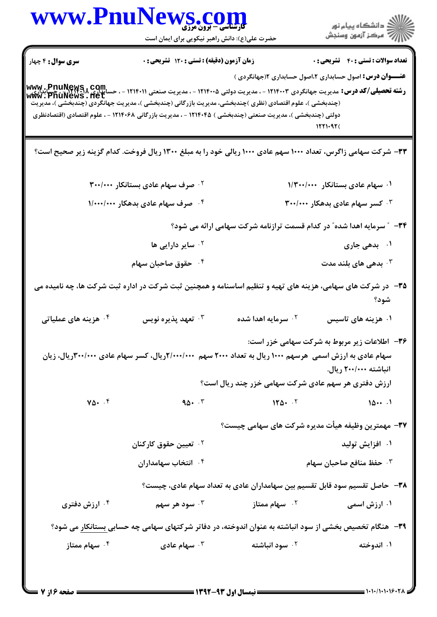| ڪ دانشڪاه پيا <sub>م</sub> نور<br>∕7 مرڪز آزمون وسنڊش            |                                                                            | $\sum_{\mathbf{y}}\sum_{\mathbf{y}}\sum_{\mathbf{y}}\sum_{\mathbf{y}}\sum_{\mathbf{y}}\mathbf{y}$<br>حضرت علی(ع): دانش راهبر نیکویی برای ایمان است                                                                                                                                 | www.PnuNew                         |
|------------------------------------------------------------------|----------------------------------------------------------------------------|------------------------------------------------------------------------------------------------------------------------------------------------------------------------------------------------------------------------------------------------------------------------------------|------------------------------------|
| <b>تعداد سوالات : تستي : 40 قشريحي : 0</b>                       |                                                                            | زمان آزمون (دقیقه) : تستی : ۱۲۰ تشریحی : ۰                                                                                                                                                                                                                                         | <b>سری سوال :</b> ۴ چهار           |
| <b>عنــــوان درس:</b> اصول حسابداری ۲،اصول حسابداری ۱۲جهانگردی ) |                                                                            | WWW . PnuNews , COM<br>ر <b>شته تحصیلی/کد درس:</b> مدیریت جهانگردی ۱۲۱۴۰۰۳ - ، مدیریت دولتی ۱۲۱۴۰۰۵ - ، مدیریت صنعتی ۱۲۱۴۰۱۱ - ، حسابداری ۱۳۱۴۰۸<br>WWW . PnuNews . Net<br>(چندبخشی )، علوم اقتصادی (نظری )چندبخشی، مدیریت بازرگانی (چندبخشی )، مدیریت جهانگردی (چندبخشی )، مدیریت |                                    |
| 1221092(                                                         |                                                                            | دولتی (چندبخشی )، مدیریت صنعتی (چندبخشی ) ۱۲۱۴۰۴۵ - ، مدیریت بازرگانی ۱۲۱۴۰۶۸ - ، علوم اقتصادی (اقتصادنظری                                                                                                                                                                         |                                    |
|                                                                  |                                                                            | ۳۳- شرکت سهامی زاگرس، تعداد ۱۰۰۰ سهم عادی ۱۰۰۰ ریالی خود را به مبلغ ۱۳۰۰ ریال فروخت. کدام گزینه زیر صحیح است؟                                                                                                                                                                      |                                    |
| ۰۱ سهام عادی بستانکار ۱/۳۰۰/۰۰۰                                  |                                                                            | <sup>۲.</sup> صرف سهام عادی بستانکار ۳۰۰/۰۰۰                                                                                                                                                                                                                                       |                                    |
| $\mathbf{r}$ ۰٬۰۰۰ کسر سهام عادی بدهکار ۳۰۰/۰۰۰                  |                                                                            | ۰۴ صرف سهام عادی بدهکار ۱/۰۰۰/۰۰۰                                                                                                                                                                                                                                                  |                                    |
|                                                                  | ۳۴ - " سرمایه اهدا شده" در کدام قسمت ترازنامه شرکت سهامی ارائه می شود؟     |                                                                                                                                                                                                                                                                                    |                                    |
| ۰۱ بدهی جاری                                                     |                                                                            | <sup>۲.</sup> سایر دارایی ها                                                                                                                                                                                                                                                       |                                    |
| بدهی های بلند مدت $\cdot$                                        |                                                                            | ۰ <sup>۴</sup> حقوق صاحبان سهام                                                                                                                                                                                                                                                    |                                    |
| شود؟                                                             |                                                                            | ۳۵– در شرکت های سهامی، هزینه های تهیه و تنظیم اساسنامه و همچنین ثبت شرکت در اداره ثبت شرکت ها، چه نامیده می                                                                                                                                                                        |                                    |
| ۰۱ هزینه های تاسیس                                               | ۰ <sup>۲</sup> سرمایه اهدا شده                                             | ۰۳ تعهد پذیره نویس                                                                                                                                                                                                                                                                 | ۰ <sup>۴</sup> هزینه های عملیاتی   |
| ۳۶- اطلاعات زیر مربوط به شرکت سهامی خزر است:                     |                                                                            |                                                                                                                                                                                                                                                                                    |                                    |
| انباشته ۲۰۰/۰۰۰ ریال.                                            |                                                                            | سهام عادی به ارزش اسمی  هرسهم ۱۰۰۰ ریال به تعداد ۲۰۰۰ سهم ۲۰۰۰/۰۰۰۲ریال، کسر سهام عادی ۳۰۰/۰۰۰ریال، زیان                                                                                                                                                                           |                                    |
|                                                                  | ارزش دفتری هر سهم عادی شرکت سهامی خزر چند ریال است؟                        |                                                                                                                                                                                                                                                                                    |                                    |
| 101                                                              | 110.7                                                                      | $90 - 5$                                                                                                                                                                                                                                                                           | $\gamma_{\Delta}$ . $\zeta$        |
|                                                                  | ۳۷- مهمترین وظیفه هیأت مدیره شرکت های سهامی چیست؟                          |                                                                                                                                                                                                                                                                                    |                                    |
| ۰۱ افزایش تولید                                                  |                                                                            | ۰ <sup>۲</sup> تعیین حقوق کارکنان                                                                                                                                                                                                                                                  |                                    |
| ۰۳ حفظ منافع صاحبان سهام                                         |                                                                            | ۰۴ انتخاب سهامداران                                                                                                                                                                                                                                                                |                                    |
|                                                                  | ۳۸– حاصل تقسیم سود قابل تقسیم بین سهامداران عادی به تعداد سهام عادی، چیست؟ |                                                                                                                                                                                                                                                                                    |                                    |
| ۰۱ ارزش اسمی                                                     | ۰ <sup>۲</sup> سهام ممتاز                                                  | ۰ <sup>۳ .</sup> سود هر سهم                                                                                                                                                                                                                                                        | ۰ <sup>۲</sup> ارزش دفتری          |
|                                                                  |                                                                            | ۳۹- هنگام تخصیص بخشی از سود انباشته به عنوان اندوخته، در دفاتر شرکتهای سهامی چه حسابی بستانکار می شود؟                                                                                                                                                                             |                                    |
| ۰۱ اندوخته                                                       | ۰ <sup>۲</sup> سود انباشته                                                 | سهام عادی $\cdot$ $^{\mathsf{r}}$                                                                                                                                                                                                                                                  | سهام ممتاز $\cdot$ $^{\mathsf{F}}$ |